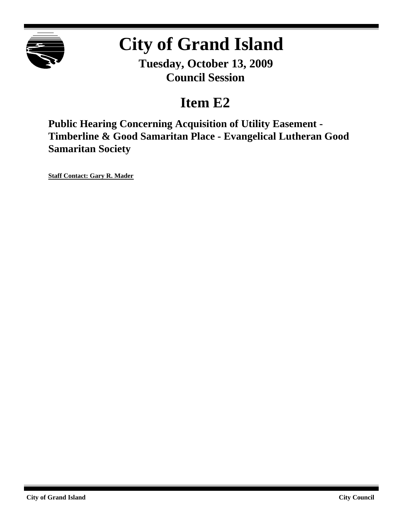

# **City of Grand Island**

**Tuesday, October 13, 2009 Council Session**

# **Item E2**

**Public Hearing Concerning Acquisition of Utility Easement - Timberline & Good Samaritan Place - Evangelical Lutheran Good Samaritan Society**

**Staff Contact: Gary R. Mader**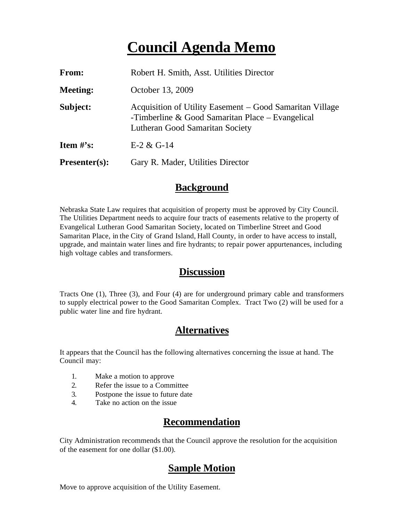## **Council Agenda Memo**

| From:                          | Robert H. Smith, Asst. Utilities Director                                                                                                         |
|--------------------------------|---------------------------------------------------------------------------------------------------------------------------------------------------|
| <b>Meeting:</b>                | October 13, 2009                                                                                                                                  |
| Subject:                       | Acquisition of Utility Easement – Good Samaritan Village<br>-Timberline & Good Samaritan Place $-$ Evangelical<br>Lutheran Good Samaritan Society |
| <b>Item <math>\#</math>'s:</b> | $E-2 & G-14$                                                                                                                                      |
| $Presenter(s):$                | Gary R. Mader, Utilities Director                                                                                                                 |

#### **Background**

Nebraska State Law requires that acquisition of property must be approved by City Council. The Utilities Department needs to acquire four tracts of easements relative to the property of Evangelical Lutheran Good Samaritan Society, located on Timberline Street and Good Samaritan Place, in the City of Grand Island, Hall County, in order to have access to install, upgrade, and maintain water lines and fire hydrants; to repair power appurtenances, including high voltage cables and transformers.

#### **Discussion**

Tracts One (1), Three (3), and Four (4) are for underground primary cable and transformers to supply electrical power to the Good Samaritan Complex. Tract Two (2) will be used for a public water line and fire hydrant.

#### **Alternatives**

It appears that the Council has the following alternatives concerning the issue at hand. The Council may:

- 1. Make a motion to approve
- 2. Refer the issue to a Committee
- 3. Postpone the issue to future date
- 4. Take no action on the issue

### **Recommendation**

City Administration recommends that the Council approve the resolution for the acquisition of the easement for one dollar (\$1.00).

### **Sample Motion**

Move to approve acquisition of the Utility Easement.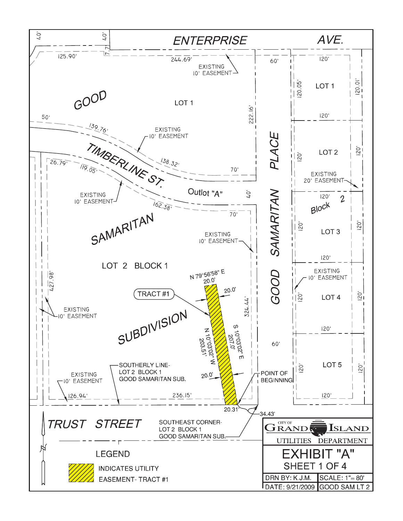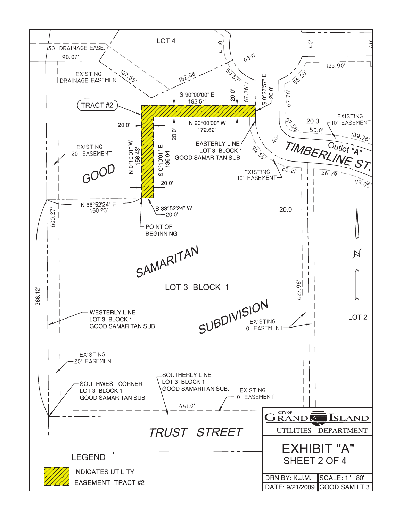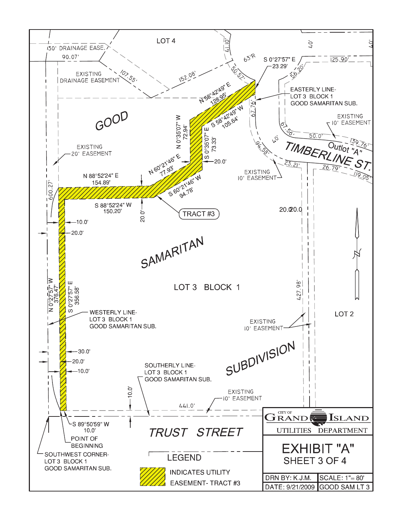